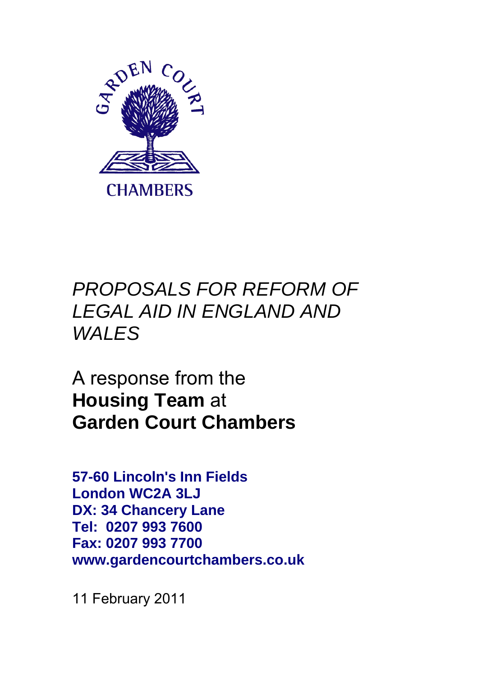

# *PROPOSALS FOR REFORM OF LEGAL AID IN ENGLAND AND WALES*

A response from the **Housing Team** at **Garden Court Chambers** 

**57-60 Lincoln's Inn Fields London WC2A 3LJ DX: 34 Chancery Lane Tel: 0207 993 7600 Fax: 0207 993 7700 www.gardencourtchambers.co.uk**

11 February 2011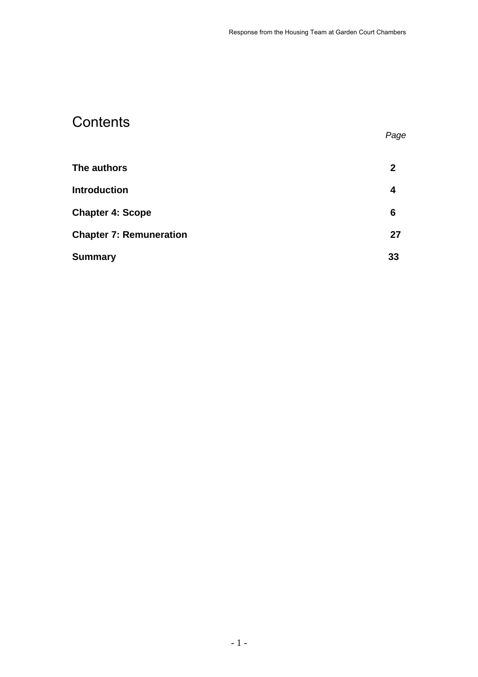# **Contents**

*Page* 

| The authors                    | 2  |
|--------------------------------|----|
| <b>Introduction</b>            | 4  |
| <b>Chapter 4: Scope</b>        | 6  |
| <b>Chapter 7: Remuneration</b> | 27 |
| <b>Summary</b>                 | 33 |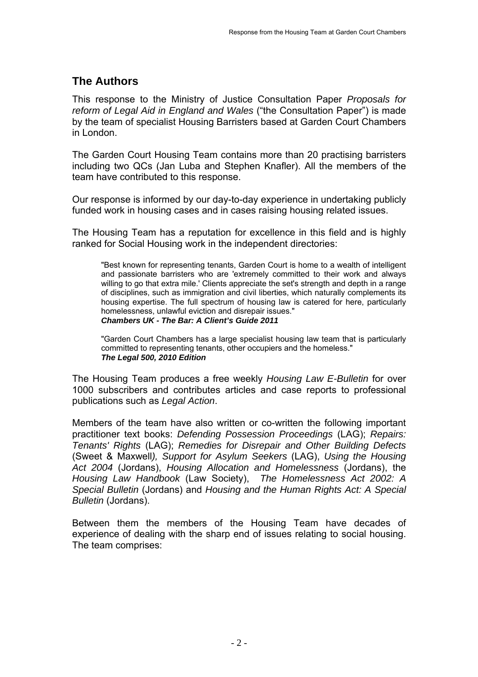# **The Authors**

This response to the Ministry of Justice Consultation Paper *Proposals for reform of Legal Aid in England and Wales* ("the Consultation Paper") is made by the team of specialist Housing Barristers based at Garden Court Chambers in London.

The Garden Court Housing Team contains more than 20 practising barristers including two QCs (Jan Luba and Stephen Knafler). All the members of the team have contributed to this response.

Our response is informed by our day-to-day experience in undertaking publicly funded work in housing cases and in cases raising housing related issues.

The Housing Team has a reputation for excellence in this field and is highly ranked for Social Housing work in the independent directories:

"Best known for representing tenants, Garden Court is home to a wealth of intelligent and passionate barristers who are 'extremely committed to their work and always willing to go that extra mile.' Clients appreciate the set's strength and depth in a range of disciplines, such as immigration and civil liberties, which naturally complements its housing expertise. The full spectrum of housing law is catered for here, particularly homelessness, unlawful eviction and disrepair issues." *Chambers UK - The Bar: A Client's Guide 2011* 

"Garden Court Chambers has a large specialist housing law team that is particularly committed to representing tenants, other occupiers and the homeless." *The Legal 500, 2010 Edition* 

The Housing Team produces a free weekly *Housing Law E-Bulletin* for over 1000 subscribers and contributes articles and case reports to professional publications such as *Legal Action*.

Members of the team have also written or co-written the following important practitioner text books: *Defending Possession Proceedings* (LAG); *Repairs: Tenants' Rights* (LAG); *Remedies for Disrepair and Other Building Defects* (Sweet & Maxwell*), Support for Asylum Seekers* (LAG), *Using the Housing Act 2004* (Jordans), *Housing Allocation and Homelessness* (Jordans), the *Housing Law Handbook* (Law Society), *The Homelessness Act 2002: A Special Bulletin* (Jordans) and *Housing and the Human Rights Act: A Special Bulletin* (Jordans).

Between them the members of the Housing Team have decades of experience of dealing with the sharp end of issues relating to social housing. The team comprises: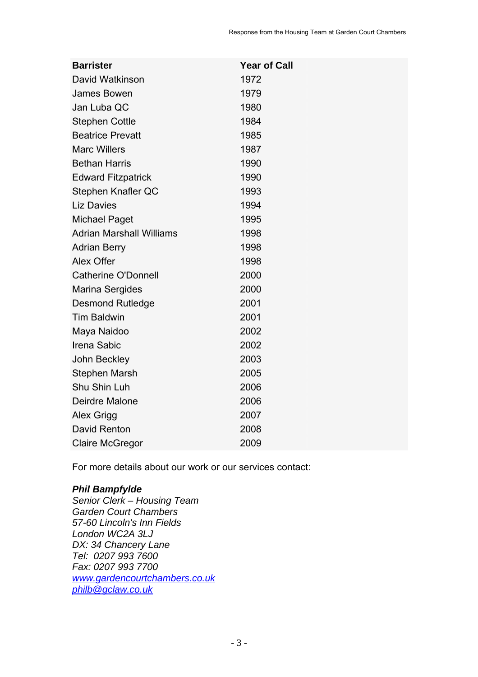| <b>Barrister</b>                | <b>Year of Call</b> |
|---------------------------------|---------------------|
| David Watkinson                 | 1972                |
| James Bowen                     | 1979                |
| Jan Luba QC                     | 1980                |
| <b>Stephen Cottle</b>           | 1984                |
| <b>Beatrice Prevatt</b>         | 1985                |
| <b>Marc Willers</b>             | 1987                |
| <b>Bethan Harris</b>            | 1990                |
| <b>Edward Fitzpatrick</b>       | 1990                |
| Stephen Knafler QC              | 1993                |
| <b>Liz Davies</b>               | 1994                |
| <b>Michael Paget</b>            | 1995                |
| <b>Adrian Marshall Williams</b> | 1998                |
| <b>Adrian Berry</b>             | 1998                |
| Alex Offer                      | 1998                |
| <b>Catherine O'Donnell</b>      | 2000                |
| <b>Marina Sergides</b>          | 2000                |
| <b>Desmond Rutledge</b>         | 2001                |
| <b>Tim Baldwin</b>              | 2001                |
| Maya Naidoo                     | 2002                |
| Irena Sabic                     | 2002                |
| John Beckley                    | 2003                |
| <b>Stephen Marsh</b>            | 2005                |
| Shu Shin Luh                    | 2006                |
| Deirdre Malone                  | 2006                |
| Alex Grigg                      | 2007                |
| David Renton                    | 2008                |
| <b>Claire McGregor</b>          | 2009                |

For more details about our work or our services contact:

#### *Phil Bampfylde*

*Senior Clerk – Housing Team Garden Court Chambers 57-60 Lincoln's Inn Fields London WC2A 3LJ DX: 34 Chancery Lane Tel: 0207 993 7600 Fax: 0207 993 7700 www.gardencourtchambers.co.uk philb@gclaw.co.uk*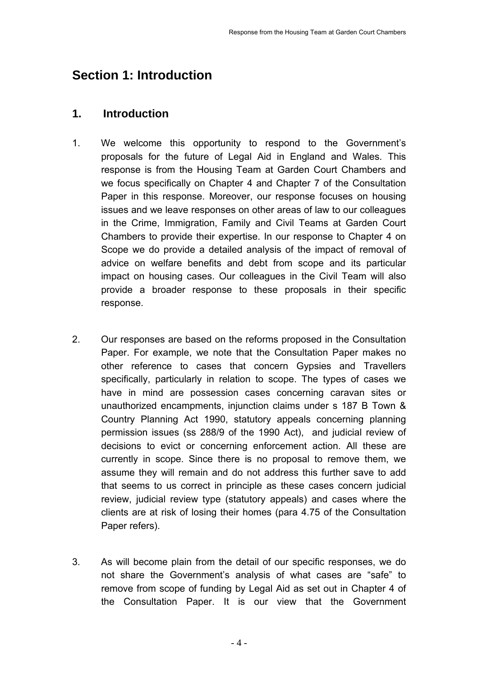# **Section 1: Introduction**

# **1. Introduction**

- 1. We welcome this opportunity to respond to the Government's proposals for the future of Legal Aid in England and Wales. This response is from the Housing Team at Garden Court Chambers and we focus specifically on Chapter 4 and Chapter 7 of the Consultation Paper in this response. Moreover, our response focuses on housing issues and we leave responses on other areas of law to our colleagues in the Crime, Immigration, Family and Civil Teams at Garden Court Chambers to provide their expertise. In our response to Chapter 4 on Scope we do provide a detailed analysis of the impact of removal of advice on welfare benefits and debt from scope and its particular impact on housing cases. Our colleagues in the Civil Team will also provide a broader response to these proposals in their specific response.
- 2. Our responses are based on the reforms proposed in the Consultation Paper. For example, we note that the Consultation Paper makes no other reference to cases that concern Gypsies and Travellers specifically, particularly in relation to scope. The types of cases we have in mind are possession cases concerning caravan sites or unauthorized encampments, injunction claims under s 187 B Town & Country Planning Act 1990, statutory appeals concerning planning permission issues (ss 288/9 of the 1990 Act), and judicial review of decisions to evict or concerning enforcement action. All these are currently in scope. Since there is no proposal to remove them, we assume they will remain and do not address this further save to add that seems to us correct in principle as these cases concern judicial review, judicial review type (statutory appeals) and cases where the clients are at risk of losing their homes (para 4.75 of the Consultation Paper refers).
- 3. As will become plain from the detail of our specific responses, we do not share the Government's analysis of what cases are "safe" to remove from scope of funding by Legal Aid as set out in Chapter 4 of the Consultation Paper. It is our view that the Government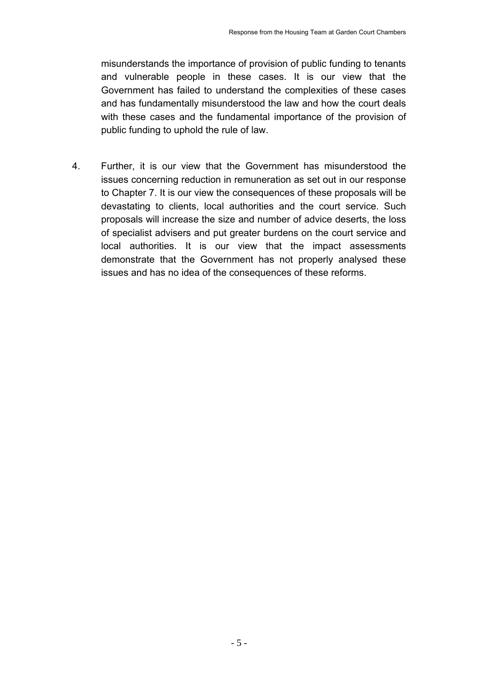misunderstands the importance of provision of public funding to tenants and vulnerable people in these cases. It is our view that the Government has failed to understand the complexities of these cases and has fundamentally misunderstood the law and how the court deals with these cases and the fundamental importance of the provision of public funding to uphold the rule of law.

4. Further, it is our view that the Government has misunderstood the issues concerning reduction in remuneration as set out in our response to Chapter 7. It is our view the consequences of these proposals will be devastating to clients, local authorities and the court service. Such proposals will increase the size and number of advice deserts, the loss of specialist advisers and put greater burdens on the court service and local authorities. It is our view that the impact assessments demonstrate that the Government has not properly analysed these issues and has no idea of the consequences of these reforms.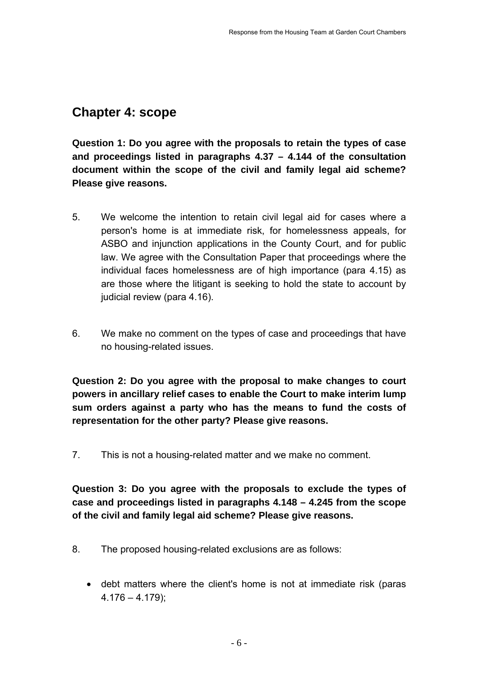# **Chapter 4: scope**

**Question 1: Do you agree with the proposals to retain the types of case and proceedings listed in paragraphs 4.37 – 4.144 of the consultation document within the scope of the civil and family legal aid scheme? Please give reasons.** 

- 5. We welcome the intention to retain civil legal aid for cases where a person's home is at immediate risk, for homelessness appeals, for ASBO and injunction applications in the County Court, and for public law. We agree with the Consultation Paper that proceedings where the individual faces homelessness are of high importance (para 4.15) as are those where the litigant is seeking to hold the state to account by judicial review (para 4.16).
- 6. We make no comment on the types of case and proceedings that have no housing-related issues.

**Question 2: Do you agree with the proposal to make changes to court powers in ancillary relief cases to enable the Court to make interim lump sum orders against a party who has the means to fund the costs of representation for the other party? Please give reasons.** 

7. This is not a housing-related matter and we make no comment.

**Question 3: Do you agree with the proposals to exclude the types of case and proceedings listed in paragraphs 4.148 – 4.245 from the scope of the civil and family legal aid scheme? Please give reasons.** 

- 8. The proposed housing-related exclusions are as follows:
	- debt matters where the client's home is not at immediate risk (paras  $4.176 - 4.179$ ;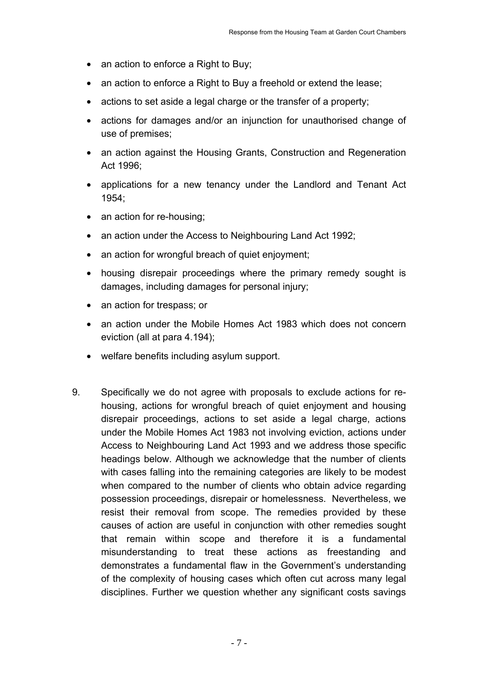- an action to enforce a Right to Buy;
- an action to enforce a Right to Buy a freehold or extend the lease;
- actions to set aside a legal charge or the transfer of a property;
- actions for damages and/or an injunction for unauthorised change of use of premises;
- an action against the Housing Grants, Construction and Regeneration Act 1996;
- applications for a new tenancy under the Landlord and Tenant Act 1954;
- an action for re-housing;
- an action under the Access to Neighbouring Land Act 1992;
- an action for wrongful breach of quiet enjoyment;
- housing disrepair proceedings where the primary remedy sought is damages, including damages for personal injury;
- an action for trespass; or
- an action under the Mobile Homes Act 1983 which does not concern eviction (all at para 4.194);
- welfare benefits including asylum support.
- 9. Specifically we do not agree with proposals to exclude actions for rehousing, actions for wrongful breach of quiet enjoyment and housing disrepair proceedings, actions to set aside a legal charge, actions under the Mobile Homes Act 1983 not involving eviction, actions under Access to Neighbouring Land Act 1993 and we address those specific headings below. Although we acknowledge that the number of clients with cases falling into the remaining categories are likely to be modest when compared to the number of clients who obtain advice regarding possession proceedings, disrepair or homelessness. Nevertheless, we resist their removal from scope. The remedies provided by these causes of action are useful in conjunction with other remedies sought that remain within scope and therefore it is a fundamental misunderstanding to treat these actions as freestanding and demonstrates a fundamental flaw in the Government's understanding of the complexity of housing cases which often cut across many legal disciplines. Further we question whether any significant costs savings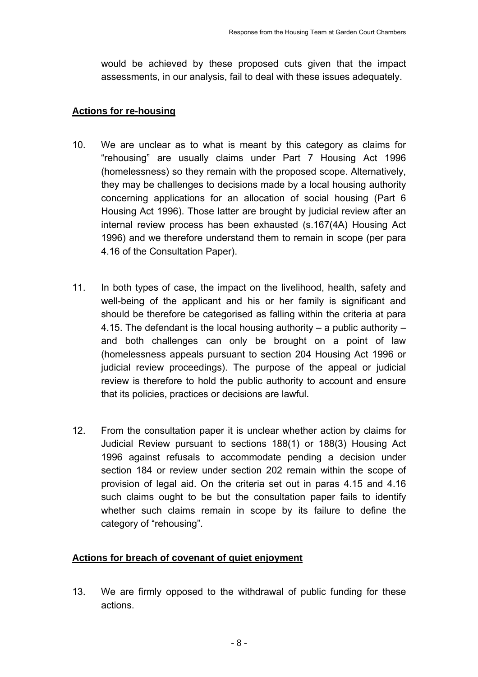would be achieved by these proposed cuts given that the impact assessments, in our analysis, fail to deal with these issues adequately.

### **Actions for re-housing**

- 10. We are unclear as to what is meant by this category as claims for "rehousing" are usually claims under Part 7 Housing Act 1996 (homelessness) so they remain with the proposed scope. Alternatively, they may be challenges to decisions made by a local housing authority concerning applications for an allocation of social housing (Part 6 Housing Act 1996). Those latter are brought by judicial review after an internal review process has been exhausted (s.167(4A) Housing Act 1996) and we therefore understand them to remain in scope (per para 4.16 of the Consultation Paper).
- 11. In both types of case, the impact on the livelihood, health, safety and well-being of the applicant and his or her family is significant and should be therefore be categorised as falling within the criteria at para 4.15. The defendant is the local housing authority – a public authority – and both challenges can only be brought on a point of law (homelessness appeals pursuant to section 204 Housing Act 1996 or judicial review proceedings). The purpose of the appeal or judicial review is therefore to hold the public authority to account and ensure that its policies, practices or decisions are lawful.
- 12. From the consultation paper it is unclear whether action by claims for Judicial Review pursuant to sections 188(1) or 188(3) Housing Act 1996 against refusals to accommodate pending a decision under section 184 or review under section 202 remain within the scope of provision of legal aid. On the criteria set out in paras 4.15 and 4.16 such claims ought to be but the consultation paper fails to identify whether such claims remain in scope by its failure to define the category of "rehousing".

# **Actions for breach of covenant of quiet enjoyment**

13. We are firmly opposed to the withdrawal of public funding for these actions.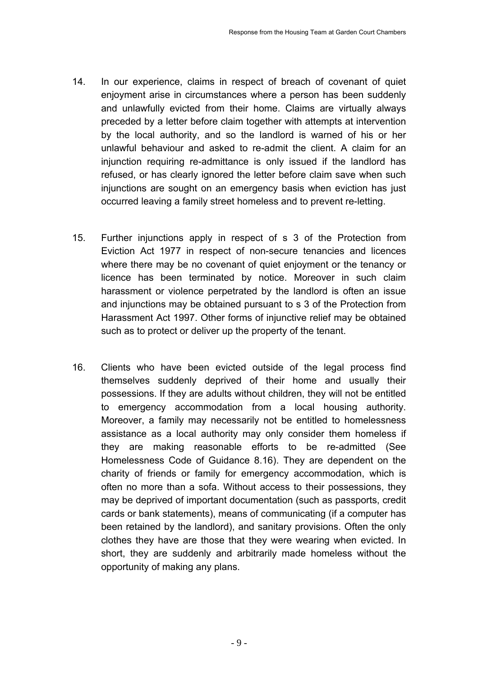- 14. In our experience, claims in respect of breach of covenant of quiet enjoyment arise in circumstances where a person has been suddenly and unlawfully evicted from their home. Claims are virtually always preceded by a letter before claim together with attempts at intervention by the local authority, and so the landlord is warned of his or her unlawful behaviour and asked to re-admit the client. A claim for an injunction requiring re-admittance is only issued if the landlord has refused, or has clearly ignored the letter before claim save when such injunctions are sought on an emergency basis when eviction has just occurred leaving a family street homeless and to prevent re-letting.
- 15. Further injunctions apply in respect of s 3 of the Protection from Eviction Act 1977 in respect of non-secure tenancies and licences where there may be no covenant of quiet enjoyment or the tenancy or licence has been terminated by notice. Moreover in such claim harassment or violence perpetrated by the landlord is often an issue and injunctions may be obtained pursuant to s 3 of the Protection from Harassment Act 1997. Other forms of injunctive relief may be obtained such as to protect or deliver up the property of the tenant.
- 16. Clients who have been evicted outside of the legal process find themselves suddenly deprived of their home and usually their possessions. If they are adults without children, they will not be entitled to emergency accommodation from a local housing authority. Moreover, a family may necessarily not be entitled to homelessness assistance as a local authority may only consider them homeless if they are making reasonable efforts to be re-admitted (See Homelessness Code of Guidance 8.16). They are dependent on the charity of friends or family for emergency accommodation, which is often no more than a sofa. Without access to their possessions, they may be deprived of important documentation (such as passports, credit cards or bank statements), means of communicating (if a computer has been retained by the landlord), and sanitary provisions. Often the only clothes they have are those that they were wearing when evicted. In short, they are suddenly and arbitrarily made homeless without the opportunity of making any plans.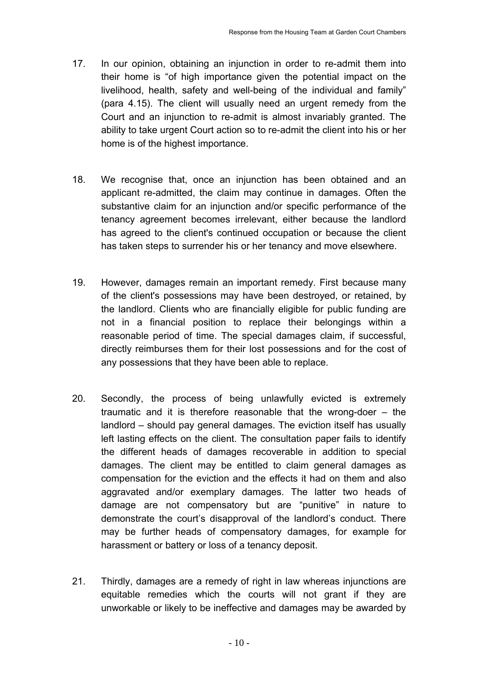- 17. In our opinion, obtaining an injunction in order to re-admit them into their home is "of high importance given the potential impact on the livelihood, health, safety and well-being of the individual and family" (para 4.15). The client will usually need an urgent remedy from the Court and an injunction to re-admit is almost invariably granted. The ability to take urgent Court action so to re-admit the client into his or her home is of the highest importance.
- 18. We recognise that, once an injunction has been obtained and an applicant re-admitted, the claim may continue in damages. Often the substantive claim for an injunction and/or specific performance of the tenancy agreement becomes irrelevant, either because the landlord has agreed to the client's continued occupation or because the client has taken steps to surrender his or her tenancy and move elsewhere.
- 19. However, damages remain an important remedy. First because many of the client's possessions may have been destroyed, or retained, by the landlord. Clients who are financially eligible for public funding are not in a financial position to replace their belongings within a reasonable period of time. The special damages claim, if successful, directly reimburses them for their lost possessions and for the cost of any possessions that they have been able to replace.
- 20. Secondly, the process of being unlawfully evicted is extremely traumatic and it is therefore reasonable that the wrong-doer – the landlord – should pay general damages. The eviction itself has usually left lasting effects on the client. The consultation paper fails to identify the different heads of damages recoverable in addition to special damages. The client may be entitled to claim general damages as compensation for the eviction and the effects it had on them and also aggravated and/or exemplary damages. The latter two heads of damage are not compensatory but are "punitive" in nature to demonstrate the court's disapproval of the landlord's conduct. There may be further heads of compensatory damages, for example for harassment or battery or loss of a tenancy deposit.
- 21. Thirdly, damages are a remedy of right in law whereas injunctions are equitable remedies which the courts will not grant if they are unworkable or likely to be ineffective and damages may be awarded by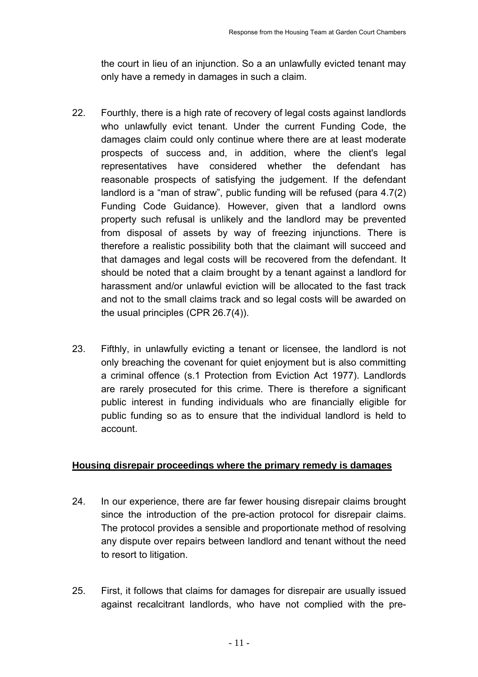the court in lieu of an injunction. So a an unlawfully evicted tenant may only have a remedy in damages in such a claim.

- 22. Fourthly, there is a high rate of recovery of legal costs against landlords who unlawfully evict tenant. Under the current Funding Code, the damages claim could only continue where there are at least moderate prospects of success and, in addition, where the client's legal representatives have considered whether the defendant has reasonable prospects of satisfying the judgement. If the defendant landlord is a "man of straw", public funding will be refused (para 4.7(2) Funding Code Guidance). However, given that a landlord owns property such refusal is unlikely and the landlord may be prevented from disposal of assets by way of freezing injunctions. There is therefore a realistic possibility both that the claimant will succeed and that damages and legal costs will be recovered from the defendant. It should be noted that a claim brought by a tenant against a landlord for harassment and/or unlawful eviction will be allocated to the fast track and not to the small claims track and so legal costs will be awarded on the usual principles (CPR 26.7(4)).
- 23. Fifthly, in unlawfully evicting a tenant or licensee, the landlord is not only breaching the covenant for quiet enjoyment but is also committing a criminal offence (s.1 Protection from Eviction Act 1977). Landlords are rarely prosecuted for this crime. There is therefore a significant public interest in funding individuals who are financially eligible for public funding so as to ensure that the individual landlord is held to account.

#### **Housing disrepair proceedings where the primary remedy is damages**

- 24. In our experience, there are far fewer housing disrepair claims brought since the introduction of the pre-action protocol for disrepair claims. The protocol provides a sensible and proportionate method of resolving any dispute over repairs between landlord and tenant without the need to resort to litigation.
- 25. First, it follows that claims for damages for disrepair are usually issued against recalcitrant landlords, who have not complied with the pre-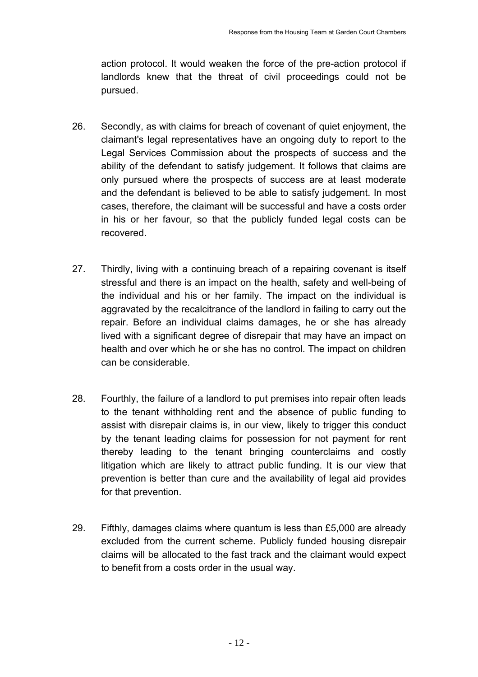action protocol. It would weaken the force of the pre-action protocol if landlords knew that the threat of civil proceedings could not be pursued.

- 26. Secondly, as with claims for breach of covenant of quiet enjoyment, the claimant's legal representatives have an ongoing duty to report to the Legal Services Commission about the prospects of success and the ability of the defendant to satisfy judgement. It follows that claims are only pursued where the prospects of success are at least moderate and the defendant is believed to be able to satisfy judgement. In most cases, therefore, the claimant will be successful and have a costs order in his or her favour, so that the publicly funded legal costs can be recovered.
- 27. Thirdly, living with a continuing breach of a repairing covenant is itself stressful and there is an impact on the health, safety and well-being of the individual and his or her family. The impact on the individual is aggravated by the recalcitrance of the landlord in failing to carry out the repair. Before an individual claims damages, he or she has already lived with a significant degree of disrepair that may have an impact on health and over which he or she has no control. The impact on children can be considerable.
- 28. Fourthly, the failure of a landlord to put premises into repair often leads to the tenant withholding rent and the absence of public funding to assist with disrepair claims is, in our view, likely to trigger this conduct by the tenant leading claims for possession for not payment for rent thereby leading to the tenant bringing counterclaims and costly litigation which are likely to attract public funding. It is our view that prevention is better than cure and the availability of legal aid provides for that prevention.
- 29. Fifthly, damages claims where quantum is less than £5,000 are already excluded from the current scheme. Publicly funded housing disrepair claims will be allocated to the fast track and the claimant would expect to benefit from a costs order in the usual way.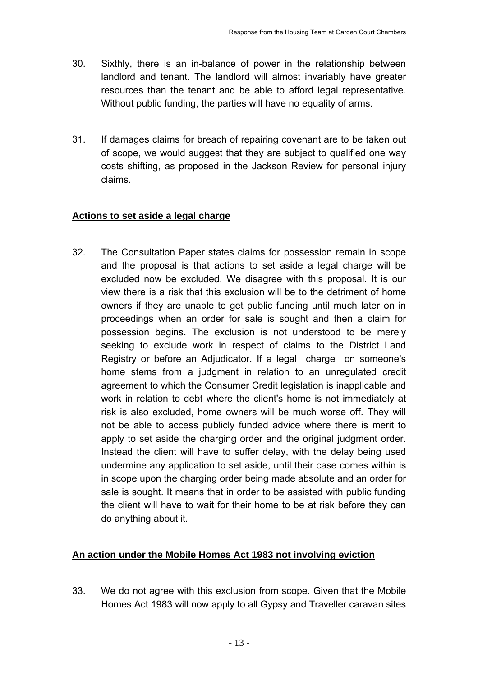- 30. Sixthly, there is an in-balance of power in the relationship between landlord and tenant. The landlord will almost invariably have greater resources than the tenant and be able to afford legal representative. Without public funding, the parties will have no equality of arms.
- 31. If damages claims for breach of repairing covenant are to be taken out of scope, we would suggest that they are subject to qualified one way costs shifting, as proposed in the Jackson Review for personal injury claims.

### **Actions to set aside a legal charge**

32. The Consultation Paper states claims for possession remain in scope and the proposal is that actions to set aside a legal charge will be excluded now be excluded. We disagree with this proposal. It is our view there is a risk that this exclusion will be to the detriment of home owners if they are unable to get public funding until much later on in proceedings when an order for sale is sought and then a claim for possession begins. The exclusion is not understood to be merely seeking to exclude work in respect of claims to the District Land Registry or before an Adjudicator. If a legal charge on someone's home stems from a judgment in relation to an unregulated credit agreement to which the Consumer Credit legislation is inapplicable and work in relation to debt where the client's home is not immediately at risk is also excluded, home owners will be much worse off. They will not be able to access publicly funded advice where there is merit to apply to set aside the charging order and the original judgment order. Instead the client will have to suffer delay, with the delay being used undermine any application to set aside, until their case comes within is in scope upon the charging order being made absolute and an order for sale is sought. It means that in order to be assisted with public funding the client will have to wait for their home to be at risk before they can do anything about it.

# **An action under the Mobile Homes Act 1983 not involving eviction**

33. We do not agree with this exclusion from scope. Given that the Mobile Homes Act 1983 will now apply to all Gypsy and Traveller caravan sites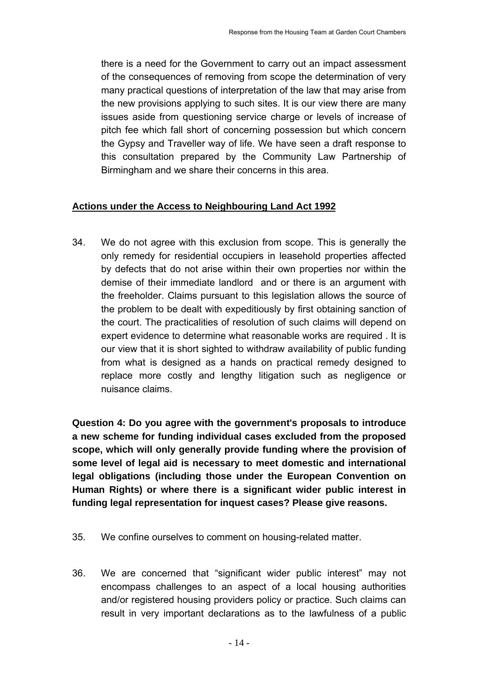there is a need for the Government to carry out an impact assessment of the consequences of removing from scope the determination of very many practical questions of interpretation of the law that may arise from the new provisions applying to such sites. It is our view there are many issues aside from questioning service charge or levels of increase of pitch fee which fall short of concerning possession but which concern the Gypsy and Traveller way of life. We have seen a draft response to this consultation prepared by the Community Law Partnership of Birmingham and we share their concerns in this area.

#### **Actions under the Access to Neighbouring Land Act 1992**

34. We do not agree with this exclusion from scope. This is generally the only remedy for residential occupiers in leasehold properties affected by defects that do not arise within their own properties nor within the demise of their immediate landlord and or there is an argument with the freeholder. Claims pursuant to this legislation allows the source of the problem to be dealt with expeditiously by first obtaining sanction of the court. The practicalities of resolution of such claims will depend on expert evidence to determine what reasonable works are required . It is our view that it is short sighted to withdraw availability of public funding from what is designed as a hands on practical remedy designed to replace more costly and lengthy litigation such as negligence or nuisance claims.

**Question 4: Do you agree with the government's proposals to introduce a new scheme for funding individual cases excluded from the proposed scope, which will only generally provide funding where the provision of some level of legal aid is necessary to meet domestic and international legal obligations (including those under the European Convention on Human Rights) or where there is a significant wider public interest in funding legal representation for inquest cases? Please give reasons.** 

- 35. We confine ourselves to comment on housing-related matter.
- 36. We are concerned that "significant wider public interest" may not encompass challenges to an aspect of a local housing authorities and/or registered housing providers policy or practice. Such claims can result in very important declarations as to the lawfulness of a public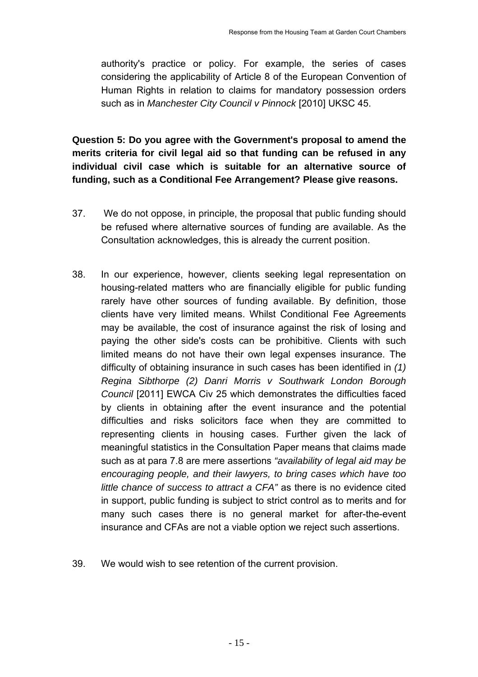authority's practice or policy. For example, the series of cases considering the applicability of Article 8 of the European Convention of Human Rights in relation to claims for mandatory possession orders such as in *Manchester City Council v Pinnock* [2010] UKSC 45.

**Question 5: Do you agree with the Government's proposal to amend the merits criteria for civil legal aid so that funding can be refused in any individual civil case which is suitable for an alternative source of funding, such as a Conditional Fee Arrangement? Please give reasons.** 

- 37. We do not oppose, in principle, the proposal that public funding should be refused where alternative sources of funding are available. As the Consultation acknowledges, this is already the current position.
- 38. In our experience, however, clients seeking legal representation on housing-related matters who are financially eligible for public funding rarely have other sources of funding available. By definition, those clients have very limited means. Whilst Conditional Fee Agreements may be available, the cost of insurance against the risk of losing and paying the other side's costs can be prohibitive. Clients with such limited means do not have their own legal expenses insurance. The difficulty of obtaining insurance in such cases has been identified in *(1) Regina Sibthorpe (2) Danri Morris v Southwark London Borough Council* [2011] EWCA Civ 25 which demonstrates the difficulties faced by clients in obtaining after the event insurance and the potential difficulties and risks solicitors face when they are committed to representing clients in housing cases. Further given the lack of meaningful statistics in the Consultation Paper means that claims made such as at para 7.8 are mere assertions *"availability of legal aid may be encouraging people, and their lawyers, to bring cases which have too little chance of success to attract a CFA"* as there is no evidence cited in support, public funding is subject to strict control as to merits and for many such cases there is no general market for after-the-event insurance and CFAs are not a viable option we reject such assertions.
- 39. We would wish to see retention of the current provision.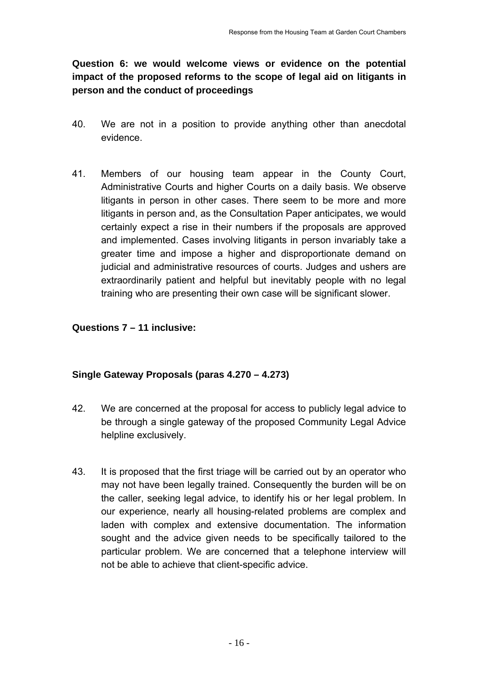# **Question 6: we would welcome views or evidence on the potential impact of the proposed reforms to the scope of legal aid on litigants in person and the conduct of proceedings**

- 40. We are not in a position to provide anything other than anecdotal evidence.
- 41. Members of our housing team appear in the County Court, Administrative Courts and higher Courts on a daily basis. We observe litigants in person in other cases. There seem to be more and more litigants in person and, as the Consultation Paper anticipates, we would certainly expect a rise in their numbers if the proposals are approved and implemented. Cases involving litigants in person invariably take a greater time and impose a higher and disproportionate demand on judicial and administrative resources of courts. Judges and ushers are extraordinarily patient and helpful but inevitably people with no legal training who are presenting their own case will be significant slower.

#### **Questions 7 – 11 inclusive:**

#### **Single Gateway Proposals (paras 4.270 – 4.273)**

- 42. We are concerned at the proposal for access to publicly legal advice to be through a single gateway of the proposed Community Legal Advice helpline exclusively.
- 43. It is proposed that the first triage will be carried out by an operator who may not have been legally trained. Consequently the burden will be on the caller, seeking legal advice, to identify his or her legal problem. In our experience, nearly all housing-related problems are complex and laden with complex and extensive documentation. The information sought and the advice given needs to be specifically tailored to the particular problem. We are concerned that a telephone interview will not be able to achieve that client-specific advice.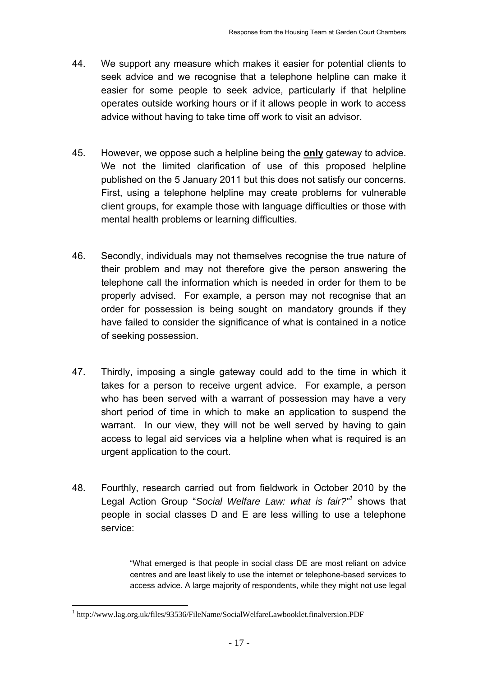- 44. We support any measure which makes it easier for potential clients to seek advice and we recognise that a telephone helpline can make it easier for some people to seek advice, particularly if that helpline operates outside working hours or if it allows people in work to access advice without having to take time off work to visit an advisor.
- 45. However, we oppose such a helpline being the **only** gateway to advice. We not the limited clarification of use of this proposed helpline published on the 5 January 2011 but this does not satisfy our concerns. First, using a telephone helpline may create problems for vulnerable client groups, for example those with language difficulties or those with mental health problems or learning difficulties.
- 46. Secondly, individuals may not themselves recognise the true nature of their problem and may not therefore give the person answering the telephone call the information which is needed in order for them to be properly advised. For example, a person may not recognise that an order for possession is being sought on mandatory grounds if they have failed to consider the significance of what is contained in a notice of seeking possession.
- 47. Thirdly, imposing a single gateway could add to the time in which it takes for a person to receive urgent advice. For example, a person who has been served with a warrant of possession may have a very short period of time in which to make an application to suspend the warrant. In our view, they will not be well served by having to gain access to legal aid services via a helpline when what is required is an urgent application to the court.
- 48. Fourthly, research carried out from fieldwork in October 2010 by the Legal Action Group "Social Welfare Law: what is fair?"<sup>1</sup> shows that people in social classes D and E are less willing to use a telephone service:

"What emerged is that people in social class DE are most reliant on advice centres and are least likely to use the internet or telephone-based services to access advice. A large majority of respondents, while they might not use legal

 $\overline{a}$ 

<sup>&</sup>lt;sup>1</sup> http://www.lag.org.uk/files/93536/FileName/SocialWelfareLawbooklet.finalversion.PDF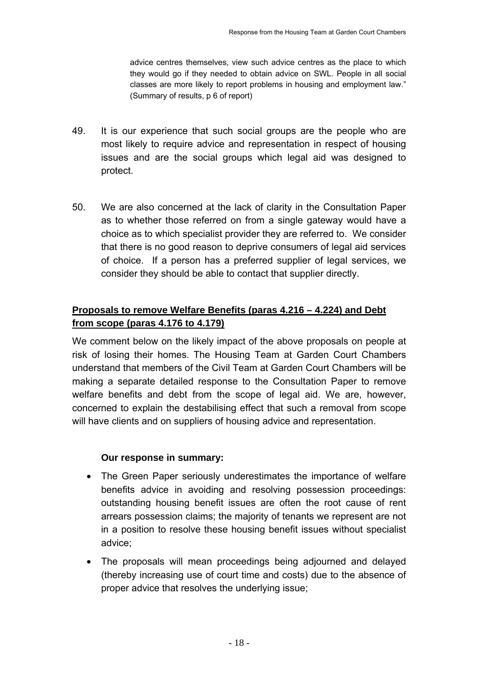advice centres themselves, view such advice centres as the place to which they would go if they needed to obtain advice on SWL. People in all social classes are more likely to report problems in housing and employment law." (Summary of results, p 6 of report)

- 49. It is our experience that such social groups are the people who are most likely to require advice and representation in respect of housing issues and are the social groups which legal aid was designed to protect.
- 50. We are also concerned at the lack of clarity in the Consultation Paper as to whether those referred on from a single gateway would have a choice as to which specialist provider they are referred to. We consider that there is no good reason to deprive consumers of legal aid services of choice. If a person has a preferred supplier of legal services, we consider they should be able to contact that supplier directly.

# **Proposals to remove Welfare Benefits (paras 4.216 – 4.224) and Debt from scope (paras 4.176 to 4.179)**

We comment below on the likely impact of the above proposals on people at risk of losing their homes. The Housing Team at Garden Court Chambers understand that members of the Civil Team at Garden Court Chambers will be making a separate detailed response to the Consultation Paper to remove welfare benefits and debt from the scope of legal aid. We are, however, concerned to explain the destabilising effect that such a removal from scope will have clients and on suppliers of housing advice and representation.

#### **Our response in summary:**

- The Green Paper seriously underestimates the importance of welfare benefits advice in avoiding and resolving possession proceedings: outstanding housing benefit issues are often the root cause of rent arrears possession claims; the majority of tenants we represent are not in a position to resolve these housing benefit issues without specialist advice;
- The proposals will mean proceedings being adjourned and delayed (thereby increasing use of court time and costs) due to the absence of proper advice that resolves the underlying issue;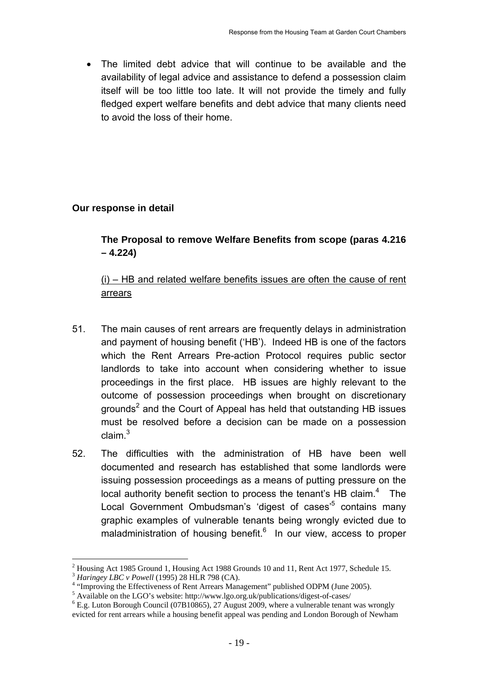• The limited debt advice that will continue to be available and the availability of legal advice and assistance to defend a possession claim itself will be too little too late. It will not provide the timely and fully fledged expert welfare benefits and debt advice that many clients need to avoid the loss of their home.

#### **Our response in detail**

**The Proposal to remove Welfare Benefits from scope (paras 4.216 – 4.224)** 

# (i) – HB and related welfare benefits issues are often the cause of rent arrears

- 51. The main causes of rent arrears are frequently delays in administration and payment of housing benefit ('HB'). Indeed HB is one of the factors which the Rent Arrears Pre-action Protocol requires public sector landlords to take into account when considering whether to issue proceedings in the first place. HB issues are highly relevant to the outcome of possession proceedings when brought on discretionary grounds<sup>2</sup> and the Court of Appeal has held that outstanding HB issues must be resolved before a decision can be made on a possession claim. $^3$
- 52. The difficulties with the administration of HB have been well documented and research has established that some landlords were issuing possession proceedings as a means of putting pressure on the local authority benefit section to process the tenant's HB claim. $4$  The Local Government Ombudsman's 'digest of cases'<sup>5</sup> contains many graphic examples of vulnerable tenants being wrongly evicted due to maladministration of housing benefit. $6$  In our view, access to proper

 $\overline{a}$ 

<sup>&</sup>lt;sup>2</sup> Housing Act 1985 Ground 1, Housing Act 1988 Grounds 10 and 11, Rent Act 1977, Schedule 15.

<sup>3</sup> *Haringey LBC v Powell* (1995) 28 HLR 798 (CA). 4

<sup>&</sup>lt;sup>4</sup> "Improving the Effectiveness of Rent Arrears Management" published ODPM (June 2005).

<sup>&</sup>lt;sup>5</sup> Available on the LGO's website: http://www.lgo.org.uk/publications/digest-of-cases/<br> $^{6}$  E  $_{\odot}$  Luten Berough Council (07B10865), 27 August 2000, where a unkarable tenant

 $<sup>6</sup>$  E.g. Luton Borough Council (07B10865), 27 August 2009, where a vulnerable tenant was wrongly</sup> evicted for rent arrears while a housing benefit appeal was pending and London Borough of Newham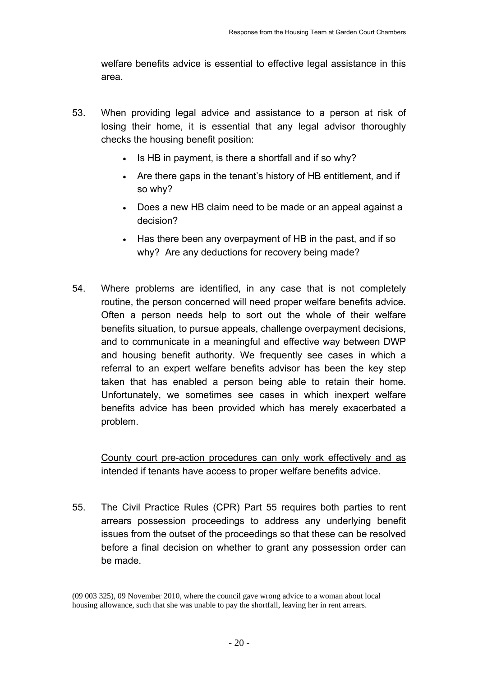welfare benefits advice is essential to effective legal assistance in this area.

- 53. When providing legal advice and assistance to a person at risk of losing their home, it is essential that any legal advisor thoroughly checks the housing benefit position:
	- Is HB in payment, is there a shortfall and if so why?
	- Are there gaps in the tenant's history of HB entitlement, and if so why?
	- Does a new HB claim need to be made or an appeal against a decision?
	- Has there been any overpayment of HB in the past, and if so why? Are any deductions for recovery being made?
- 54. Where problems are identified, in any case that is not completely routine, the person concerned will need proper welfare benefits advice. Often a person needs help to sort out the whole of their welfare benefits situation, to pursue appeals, challenge overpayment decisions, and to communicate in a meaningful and effective way between DWP and housing benefit authority. We frequently see cases in which a referral to an expert welfare benefits advisor has been the key step taken that has enabled a person being able to retain their home. Unfortunately, we sometimes see cases in which inexpert welfare benefits advice has been provided which has merely exacerbated a problem.

County court pre-action procedures can only work effectively and as intended if tenants have access to proper welfare benefits advice.

55. The Civil Practice Rules (CPR) Part 55 requires both parties to rent arrears possession proceedings to address any underlying benefit issues from the outset of the proceedings so that these can be resolved before a final decision on whether to grant any possession order can be made.

 <sup>(09 003 325), 09</sup> November 2010, where the council gave wrong advice to a woman about local housing allowance, such that she was unable to pay the shortfall, leaving her in rent arrears.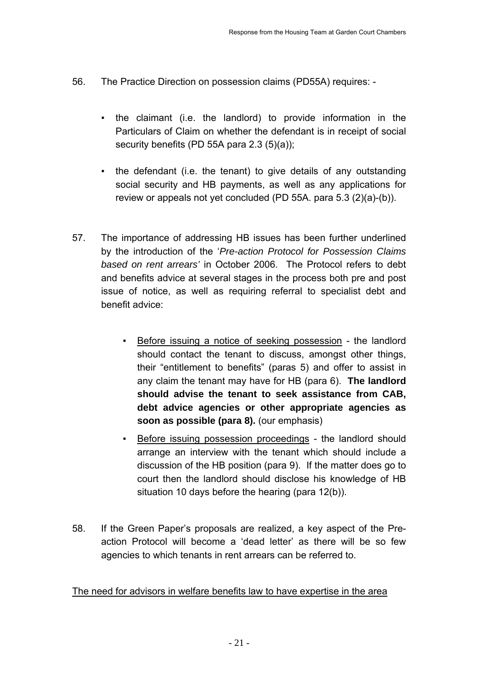- 56. The Practice Direction on possession claims (PD55A) requires:
	- the claimant (i.e. the landlord) to provide information in the Particulars of Claim on whether the defendant is in receipt of social security benefits (PD 55A para 2.3 (5)(a));
	- the defendant (i.e. the tenant) to give details of any outstanding social security and HB payments, as well as any applications for review or appeals not yet concluded (PD 55A. para 5.3 (2)(a)-(b)).
- 57. The importance of addressing HB issues has been further underlined by the introduction of the '*Pre-action Protocol for Possession Claims based on rent arrears'* in October 2006. The Protocol refers to debt and benefits advice at several stages in the process both pre and post issue of notice, as well as requiring referral to specialist debt and benefit advice:
	- Before issuing a notice of seeking possession the landlord should contact the tenant to discuss, amongst other things, their "entitlement to benefits" (paras 5) and offer to assist in any claim the tenant may have for HB (para 6). **The landlord should advise the tenant to seek assistance from CAB, debt advice agencies or other appropriate agencies as soon as possible (para 8).** (our emphasis)
	- Before issuing possession proceedings the landlord should arrange an interview with the tenant which should include a discussion of the HB position (para 9). If the matter does go to court then the landlord should disclose his knowledge of HB situation 10 days before the hearing (para 12(b)).
- 58. If the Green Paper's proposals are realized, a key aspect of the Preaction Protocol will become a 'dead letter' as there will be so few agencies to which tenants in rent arrears can be referred to.

#### The need for advisors in welfare benefits law to have expertise in the area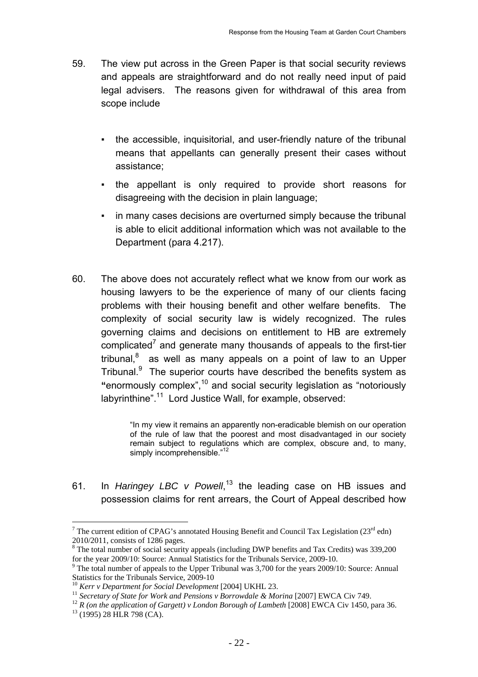- 59. The view put across in the Green Paper is that social security reviews and appeals are straightforward and do not really need input of paid legal advisers. The reasons given for withdrawal of this area from scope include
	- the accessible, inquisitorial, and user-friendly nature of the tribunal means that appellants can generally present their cases without assistance;
	- the appellant is only required to provide short reasons for disagreeing with the decision in plain language;
	- in many cases decisions are overturned simply because the tribunal is able to elicit additional information which was not available to the Department (para 4.217).
- 60. The above does not accurately reflect what we know from our work as housing lawyers to be the experience of many of our clients facing problems with their housing benefit and other welfare benefits. The complexity of social security law is widely recognized. The rules governing claims and decisions on entitlement to HB are extremely complicated<sup>7</sup> and generate many thousands of appeals to the first-tier tribunal,<sup>8</sup> as well as many appeals on a point of law to an Upper Tribunal.<sup>9</sup> The superior courts have described the benefits system as **"**enormously complex",10 and social security legislation as "notoriously labyrinthine".<sup>11</sup> Lord Justice Wall, for example, observed:

"In my view it remains an apparently non-eradicable blemish on our operation of the rule of law that the poorest and most disadvantaged in our society remain subject to regulations which are complex, obscure and, to many, simply incomprehensible."<sup>12</sup>

61. In *Haringey LBC v Powell*, 13 the leading case on HB issues and possession claims for rent arrears, the Court of Appeal described how

 $\overline{a}$ 

<sup>&</sup>lt;sup>7</sup> The current edition of CPAG's annotated Housing Benefit and Council Tax Legislation (23<sup>rd</sup> edn) 2010/2011, consists of 1286 pages.

<sup>&</sup>lt;sup>8</sup> The total number of social security appeals (including DWP benefits and Tax Credits) was 339,200 for the year 2009/10: Source: Annual Statistics for the Tribunals Service, 2009-10.

 $9$ <sup>9</sup> The total number of appeals to the Upper Tribunal was 3,700 for the years 2009/10: Source: Annual Statistics for the Tribunals Service, 2009-10<br><sup>10</sup> Kerr v Department for Social Development [2004] UKHL 23.

<sup>&</sup>lt;sup>11</sup> Secretary of State for Work and Pensions v Borrowdale & Morina [2007] EWCA Civ 749.<br><sup>12</sup> R (on the application of Gargett) v London Borough of Lambeth [2008] EWCA Civ 1450, para 36.<br><sup>13</sup> (1995) 28 HLR 798 (CA).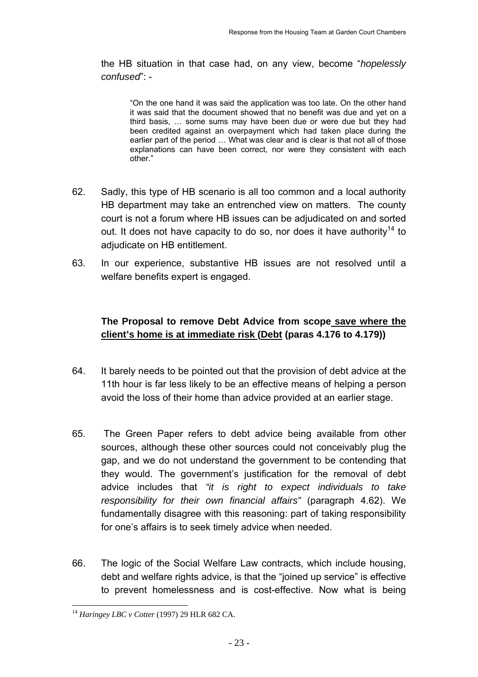the HB situation in that case had, on any view, become "*hopelessly confused*": -

"On the one hand it was said the application was too late. On the other hand it was said that the document showed that no benefit was due and yet on a third basis, … some sums may have been due or were due but they had been credited against an overpayment which had taken place during the earlier part of the period … What was clear and is clear is that not all of those explanations can have been correct, nor were they consistent with each other."

- 62. Sadly, this type of HB scenario is all too common and a local authority HB department may take an entrenched view on matters. The county court is not a forum where HB issues can be adjudicated on and sorted out. It does not have capacity to do so, nor does it have authority<sup>14</sup> to adjudicate on HB entitlement.
- 63. In our experience, substantive HB issues are not resolved until a welfare benefits expert is engaged.

### **The Proposal to remove Debt Advice from scope save where the client's home is at immediate risk (Debt (paras 4.176 to 4.179))**

- 64. It barely needs to be pointed out that the provision of debt advice at the 11th hour is far less likely to be an effective means of helping a person avoid the loss of their home than advice provided at an earlier stage.
- 65. The Green Paper refers to debt advice being available from other sources, although these other sources could not conceivably plug the gap, and we do not understand the government to be contending that they would. The government's justification for the removal of debt advice includes that *"it is right to expect individuals to take responsibility for their own financial affairs"* (paragraph 4.62). We fundamentally disagree with this reasoning: part of taking responsibility for one's affairs is to seek timely advice when needed.
- 66. The logic of the Social Welfare Law contracts, which include housing, debt and welfare rights advice, is that the "joined up service" is effective to prevent homelessness and is cost-effective. Now what is being

 $\overline{a}$ 

<sup>14</sup> *Haringey LBC v Cotter* (1997) 29 HLR 682 CA.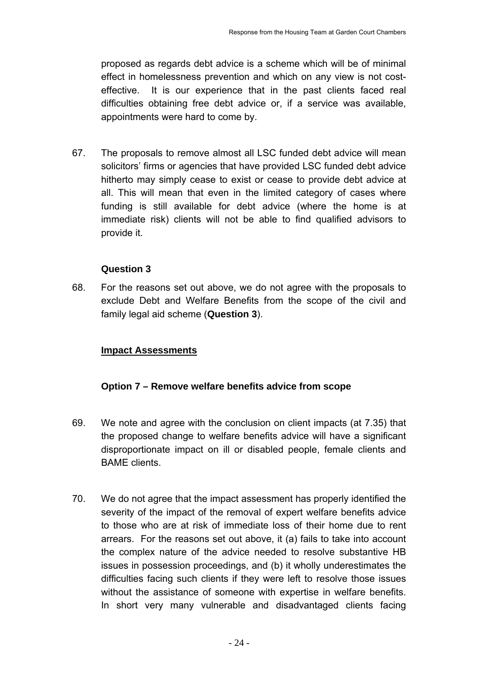proposed as regards debt advice is a scheme which will be of minimal effect in homelessness prevention and which on any view is not costeffective. It is our experience that in the past clients faced real difficulties obtaining free debt advice or, if a service was available, appointments were hard to come by.

67. The proposals to remove almost all LSC funded debt advice will mean solicitors' firms or agencies that have provided LSC funded debt advice hitherto may simply cease to exist or cease to provide debt advice at all. This will mean that even in the limited category of cases where funding is still available for debt advice (where the home is at immediate risk) clients will not be able to find qualified advisors to provide it.

# **Question 3**

68. For the reasons set out above, we do not agree with the proposals to exclude Debt and Welfare Benefits from the scope of the civil and family legal aid scheme (**Question 3**).

# **Impact Assessments**

#### **Option 7 – Remove welfare benefits advice from scope**

- 69. We note and agree with the conclusion on client impacts (at 7.35) that the proposed change to welfare benefits advice will have a significant disproportionate impact on ill or disabled people, female clients and BAME clients.
- 70. We do not agree that the impact assessment has properly identified the severity of the impact of the removal of expert welfare benefits advice to those who are at risk of immediate loss of their home due to rent arrears. For the reasons set out above, it (a) fails to take into account the complex nature of the advice needed to resolve substantive HB issues in possession proceedings, and (b) it wholly underestimates the difficulties facing such clients if they were left to resolve those issues without the assistance of someone with expertise in welfare benefits. In short very many vulnerable and disadvantaged clients facing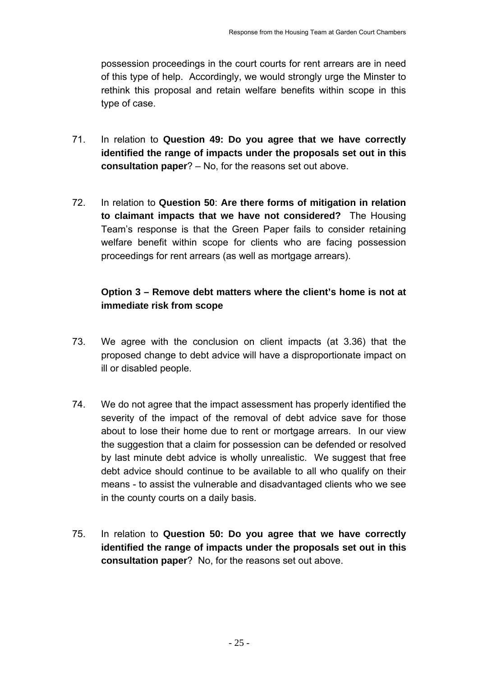possession proceedings in the court courts for rent arrears are in need of this type of help. Accordingly, we would strongly urge the Minster to rethink this proposal and retain welfare benefits within scope in this type of case.

- 71. In relation to **Question 49: Do you agree that we have correctly identified the range of impacts under the proposals set out in this consultation paper**? – No, for the reasons set out above.
- 72. In relation to **Question 50**: **Are there forms of mitigation in relation to claimant impacts that we have not considered?** The Housing Team's response is that the Green Paper fails to consider retaining welfare benefit within scope for clients who are facing possession proceedings for rent arrears (as well as mortgage arrears).

### **Option 3 – Remove debt matters where the client's home is not at immediate risk from scope**

- 73. We agree with the conclusion on client impacts (at 3.36) that the proposed change to debt advice will have a disproportionate impact on ill or disabled people.
- 74. We do not agree that the impact assessment has properly identified the severity of the impact of the removal of debt advice save for those about to lose their home due to rent or mortgage arrears. In our view the suggestion that a claim for possession can be defended or resolved by last minute debt advice is wholly unrealistic. We suggest that free debt advice should continue to be available to all who qualify on their means - to assist the vulnerable and disadvantaged clients who we see in the county courts on a daily basis.
- 75. In relation to **Question 50: Do you agree that we have correctly identified the range of impacts under the proposals set out in this consultation paper**? No, for the reasons set out above.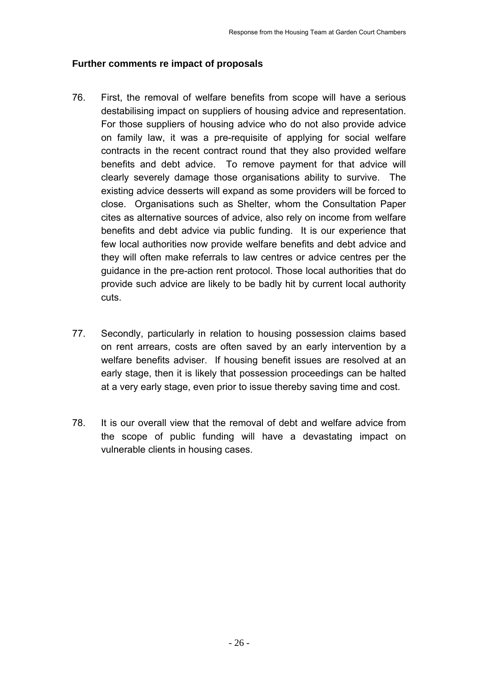#### **Further comments re impact of proposals**

- 76. First, the removal of welfare benefits from scope will have a serious destabilising impact on suppliers of housing advice and representation. For those suppliers of housing advice who do not also provide advice on family law, it was a pre-requisite of applying for social welfare contracts in the recent contract round that they also provided welfare benefits and debt advice. To remove payment for that advice will clearly severely damage those organisations ability to survive. The existing advice desserts will expand as some providers will be forced to close. Organisations such as Shelter, whom the Consultation Paper cites as alternative sources of advice, also rely on income from welfare benefits and debt advice via public funding. It is our experience that few local authorities now provide welfare benefits and debt advice and they will often make referrals to law centres or advice centres per the guidance in the pre-action rent protocol. Those local authorities that do provide such advice are likely to be badly hit by current local authority cuts.
- 77. Secondly, particularly in relation to housing possession claims based on rent arrears, costs are often saved by an early intervention by a welfare benefits adviser. If housing benefit issues are resolved at an early stage, then it is likely that possession proceedings can be halted at a very early stage, even prior to issue thereby saving time and cost.
- 78. It is our overall view that the removal of debt and welfare advice from the scope of public funding will have a devastating impact on vulnerable clients in housing cases.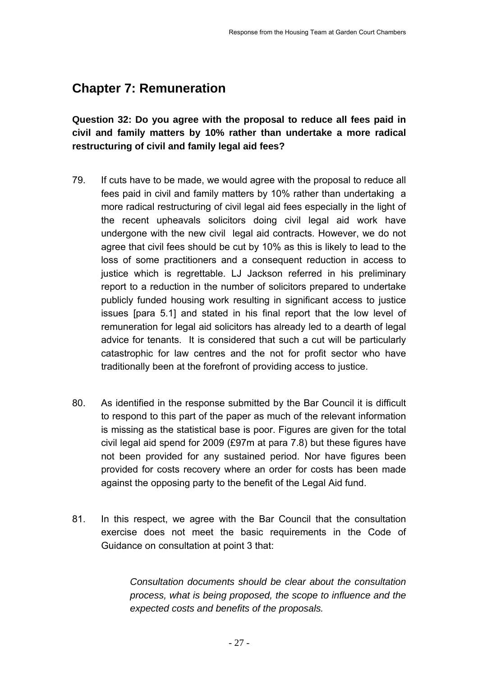# **Chapter 7: Remuneration**

**Question 32: Do you agree with the proposal to reduce all fees paid in civil and family matters by 10% rather than undertake a more radical restructuring of civil and family legal aid fees?** 

- 79. If cuts have to be made, we would agree with the proposal to reduce all fees paid in civil and family matters by 10% rather than undertaking a more radical restructuring of civil legal aid fees especially in the light of the recent upheavals solicitors doing civil legal aid work have undergone with the new civil legal aid contracts. However, we do not agree that civil fees should be cut by 10% as this is likely to lead to the loss of some practitioners and a consequent reduction in access to justice which is regrettable. LJ Jackson referred in his preliminary report to a reduction in the number of solicitors prepared to undertake publicly funded housing work resulting in significant access to justice issues [para 5.1] and stated in his final report that the low level of remuneration for legal aid solicitors has already led to a dearth of legal advice for tenants. It is considered that such a cut will be particularly catastrophic for law centres and the not for profit sector who have traditionally been at the forefront of providing access to justice.
- 80. As identified in the response submitted by the Bar Council it is difficult to respond to this part of the paper as much of the relevant information is missing as the statistical base is poor. Figures are given for the total civil legal aid spend for 2009 (£97m at para 7.8) but these figures have not been provided for any sustained period. Nor have figures been provided for costs recovery where an order for costs has been made against the opposing party to the benefit of the Legal Aid fund.
- 81. In this respect, we agree with the Bar Council that the consultation exercise does not meet the basic requirements in the Code of Guidance on consultation at point 3 that:

*Consultation documents should be clear about the consultation process, what is being proposed, the scope to influence and the expected costs and benefits of the proposals.*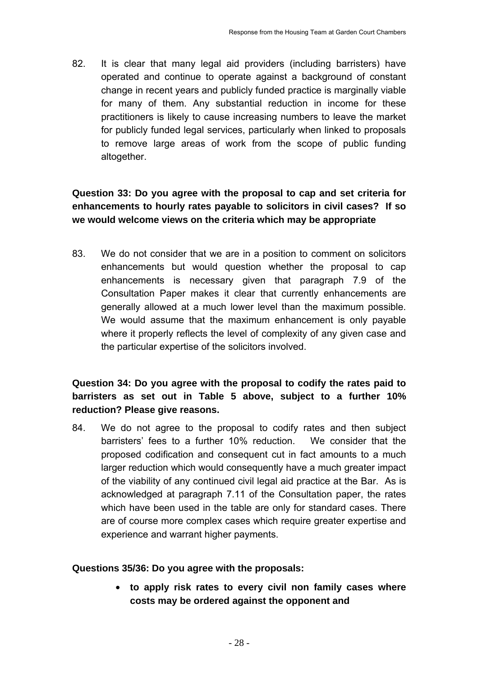82. It is clear that many legal aid providers (including barristers) have operated and continue to operate against a background of constant change in recent years and publicly funded practice is marginally viable for many of them. Any substantial reduction in income for these practitioners is likely to cause increasing numbers to leave the market for publicly funded legal services, particularly when linked to proposals to remove large areas of work from the scope of public funding altogether.

# **Question 33: Do you agree with the proposal to cap and set criteria for enhancements to hourly rates payable to solicitors in civil cases? If so we would welcome views on the criteria which may be appropriate**

83. We do not consider that we are in a position to comment on solicitors enhancements but would question whether the proposal to cap enhancements is necessary given that paragraph 7.9 of the Consultation Paper makes it clear that currently enhancements are generally allowed at a much lower level than the maximum possible. We would assume that the maximum enhancement is only payable where it properly reflects the level of complexity of any given case and the particular expertise of the solicitors involved.

# **Question 34: Do you agree with the proposal to codify the rates paid to barristers as set out in Table 5 above, subject to a further 10% reduction? Please give reasons.**

84. We do not agree to the proposal to codify rates and then subject barristers' fees to a further 10% reduction. We consider that the proposed codification and consequent cut in fact amounts to a much larger reduction which would consequently have a much greater impact of the viability of any continued civil legal aid practice at the Bar. As is acknowledged at paragraph 7.11 of the Consultation paper, the rates which have been used in the table are only for standard cases. There are of course more complex cases which require greater expertise and experience and warrant higher payments.

#### **Questions 35/36: Do you agree with the proposals:**

• **to apply risk rates to every civil non family cases where costs may be ordered against the opponent and**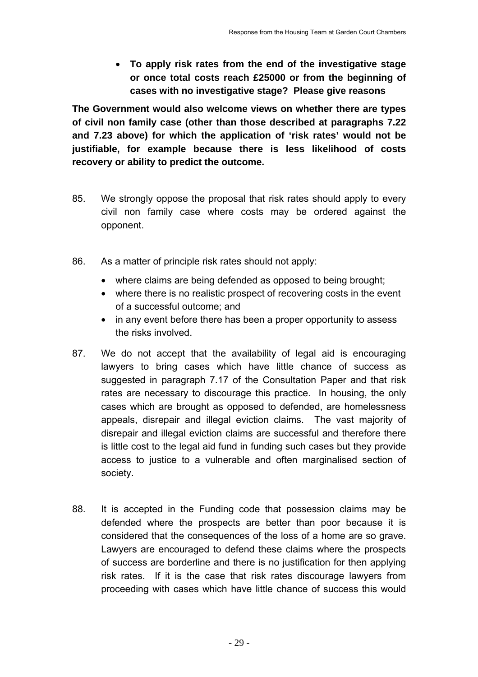• **To apply risk rates from the end of the investigative stage or once total costs reach £25000 or from the beginning of cases with no investigative stage? Please give reasons** 

**The Government would also welcome views on whether there are types of civil non family case (other than those described at paragraphs 7.22 and 7.23 above) for which the application of 'risk rates' would not be justifiable, for example because there is less likelihood of costs recovery or ability to predict the outcome.** 

- 85. We strongly oppose the proposal that risk rates should apply to every civil non family case where costs may be ordered against the opponent.
- 86. As a matter of principle risk rates should not apply:
	- where claims are being defended as opposed to being brought;
	- where there is no realistic prospect of recovering costs in the event of a successful outcome; and
	- in any event before there has been a proper opportunity to assess the risks involved.
- 87. We do not accept that the availability of legal aid is encouraging lawyers to bring cases which have little chance of success as suggested in paragraph 7.17 of the Consultation Paper and that risk rates are necessary to discourage this practice. In housing, the only cases which are brought as opposed to defended, are homelessness appeals, disrepair and illegal eviction claims. The vast majority of disrepair and illegal eviction claims are successful and therefore there is little cost to the legal aid fund in funding such cases but they provide access to justice to a vulnerable and often marginalised section of society.
- 88. It is accepted in the Funding code that possession claims may be defended where the prospects are better than poor because it is considered that the consequences of the loss of a home are so grave. Lawyers are encouraged to defend these claims where the prospects of success are borderline and there is no justification for then applying risk rates. If it is the case that risk rates discourage lawyers from proceeding with cases which have little chance of success this would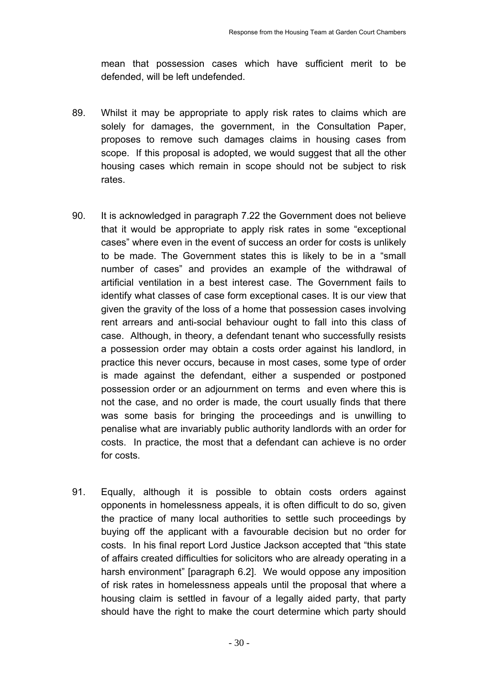mean that possession cases which have sufficient merit to be defended, will be left undefended.

- 89. Whilst it may be appropriate to apply risk rates to claims which are solely for damages, the government, in the Consultation Paper, proposes to remove such damages claims in housing cases from scope. If this proposal is adopted, we would suggest that all the other housing cases which remain in scope should not be subject to risk rates.
- 90. It is acknowledged in paragraph 7.22 the Government does not believe that it would be appropriate to apply risk rates in some "exceptional cases" where even in the event of success an order for costs is unlikely to be made. The Government states this is likely to be in a "small number of cases" and provides an example of the withdrawal of artificial ventilation in a best interest case. The Government fails to identify what classes of case form exceptional cases. It is our view that given the gravity of the loss of a home that possession cases involving rent arrears and anti-social behaviour ought to fall into this class of case. Although, in theory, a defendant tenant who successfully resists a possession order may obtain a costs order against his landlord, in practice this never occurs, because in most cases, some type of order is made against the defendant, either a suspended or postponed possession order or an adjournment on terms and even where this is not the case, and no order is made, the court usually finds that there was some basis for bringing the proceedings and is unwilling to penalise what are invariably public authority landlords with an order for costs. In practice, the most that a defendant can achieve is no order for costs.
- 91. Equally, although it is possible to obtain costs orders against opponents in homelessness appeals, it is often difficult to do so, given the practice of many local authorities to settle such proceedings by buying off the applicant with a favourable decision but no order for costs. In his final report Lord Justice Jackson accepted that "this state of affairs created difficulties for solicitors who are already operating in a harsh environment" [paragraph 6.2]. We would oppose any imposition of risk rates in homelessness appeals until the proposal that where a housing claim is settled in favour of a legally aided party, that party should have the right to make the court determine which party should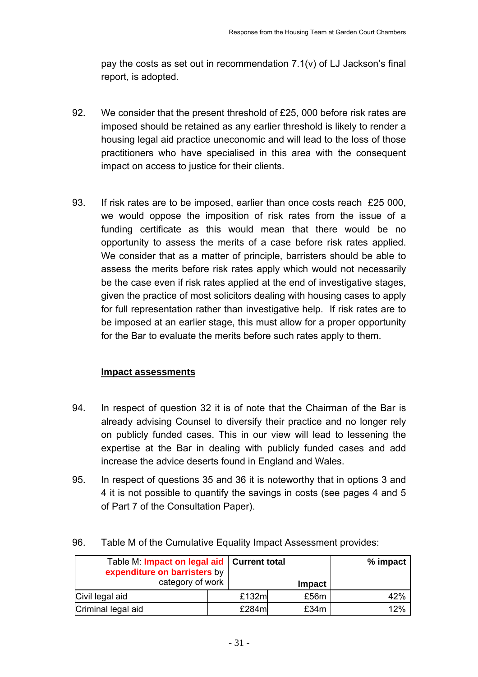pay the costs as set out in recommendation 7.1(v) of LJ Jackson's final report, is adopted.

- 92. We consider that the present threshold of £25, 000 before risk rates are imposed should be retained as any earlier threshold is likely to render a housing legal aid practice uneconomic and will lead to the loss of those practitioners who have specialised in this area with the consequent impact on access to justice for their clients.
- 93. If risk rates are to be imposed, earlier than once costs reach £25 000, we would oppose the imposition of risk rates from the issue of a funding certificate as this would mean that there would be no opportunity to assess the merits of a case before risk rates applied. We consider that as a matter of principle, barristers should be able to assess the merits before risk rates apply which would not necessarily be the case even if risk rates applied at the end of investigative stages, given the practice of most solicitors dealing with housing cases to apply for full representation rather than investigative help. If risk rates are to be imposed at an earlier stage, this must allow for a proper opportunity for the Bar to evaluate the merits before such rates apply to them.

#### **Impact assessments**

- 94. In respect of question 32 it is of note that the Chairman of the Bar is already advising Counsel to diversify their practice and no longer rely on publicly funded cases. This in our view will lead to lessening the expertise at the Bar in dealing with publicly funded cases and add increase the advice deserts found in England and Wales.
- 95. In respect of questions 35 and 36 it is noteworthy that in options 3 and 4 it is not possible to quantify the savings in costs (see pages 4 and 5 of Part 7 of the Consultation Paper).

| Table M: Impact on legal aid   Current total<br>expenditure on barristers by |        |               | % impact |
|------------------------------------------------------------------------------|--------|---------------|----------|
| category of work                                                             |        | <b>Impact</b> |          |
| Civil legal aid                                                              | £132ml | £56m          | 42%      |
| Criminal legal aid                                                           | £284m  | £34m          | 12%      |

#### 96. Table M of the Cumulative Equality Impact Assessment provides: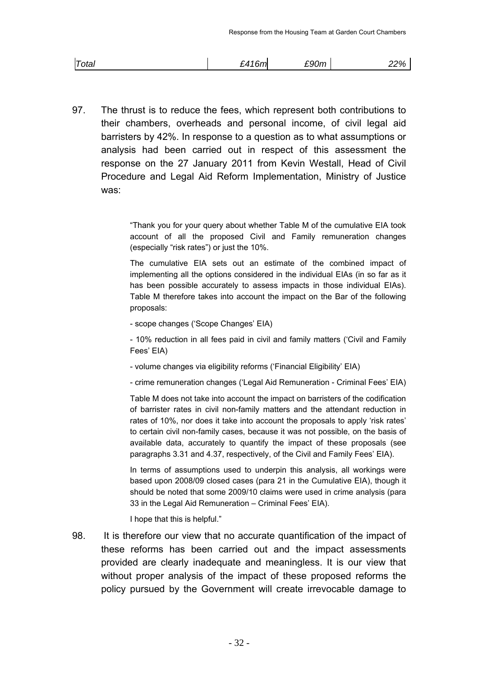| Total<br>£90m<br>116m | າດ ທ<br>. 70 |
|-----------------------|--------------|
|-----------------------|--------------|

97. The thrust is to reduce the fees, which represent both contributions to their chambers, overheads and personal income, of civil legal aid barristers by 42%. In response to a question as to what assumptions or analysis had been carried out in respect of this assessment the response on the 27 January 2011 from Kevin Westall, Head of Civil Procedure and Legal Aid Reform Implementation, Ministry of Justice was:

> "Thank you for your query about whether Table M of the cumulative EIA took account of all the proposed Civil and Family remuneration changes (especially "risk rates") or just the 10%.

> The cumulative EIA sets out an estimate of the combined impact of implementing all the options considered in the individual EIAs (in so far as it has been possible accurately to assess impacts in those individual EIAs). Table M therefore takes into account the impact on the Bar of the following proposals:

- scope changes ('Scope Changes' EIA)

- 10% reduction in all fees paid in civil and family matters ('Civil and Family Fees' EIA)

- volume changes via eligibility reforms ('Financial Eligibility' EIA)

- crime remuneration changes ('Legal Aid Remuneration - Criminal Fees' EIA)

Table M does not take into account the impact on barristers of the codification of barrister rates in civil non-family matters and the attendant reduction in rates of 10%, nor does it take into account the proposals to apply 'risk rates' to certain civil non-family cases, because it was not possible, on the basis of available data, accurately to quantify the impact of these proposals (see paragraphs 3.31 and 4.37, respectively, of the Civil and Family Fees' EIA).

In terms of assumptions used to underpin this analysis, all workings were based upon 2008/09 closed cases (para 21 in the Cumulative EIA), though it should be noted that some 2009/10 claims were used in crime analysis (para 33 in the Legal Aid Remuneration – Criminal Fees' EIA).

I hope that this is helpful."

98. It is therefore our view that no accurate quantification of the impact of these reforms has been carried out and the impact assessments provided are clearly inadequate and meaningless. It is our view that without proper analysis of the impact of these proposed reforms the policy pursued by the Government will create irrevocable damage to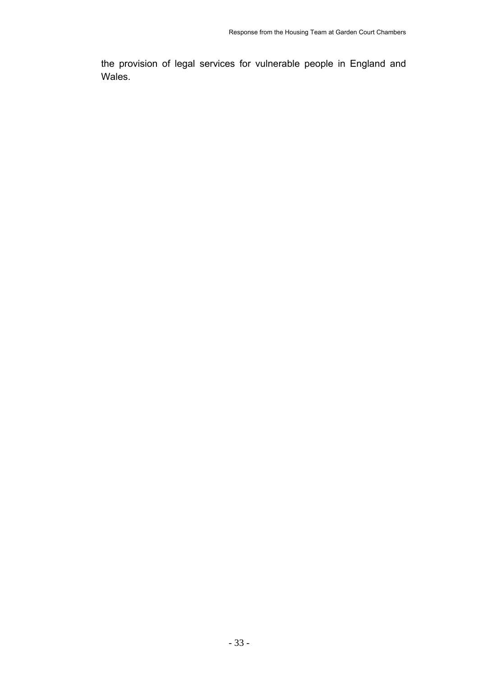the provision of legal services for vulnerable people in England and Wales.